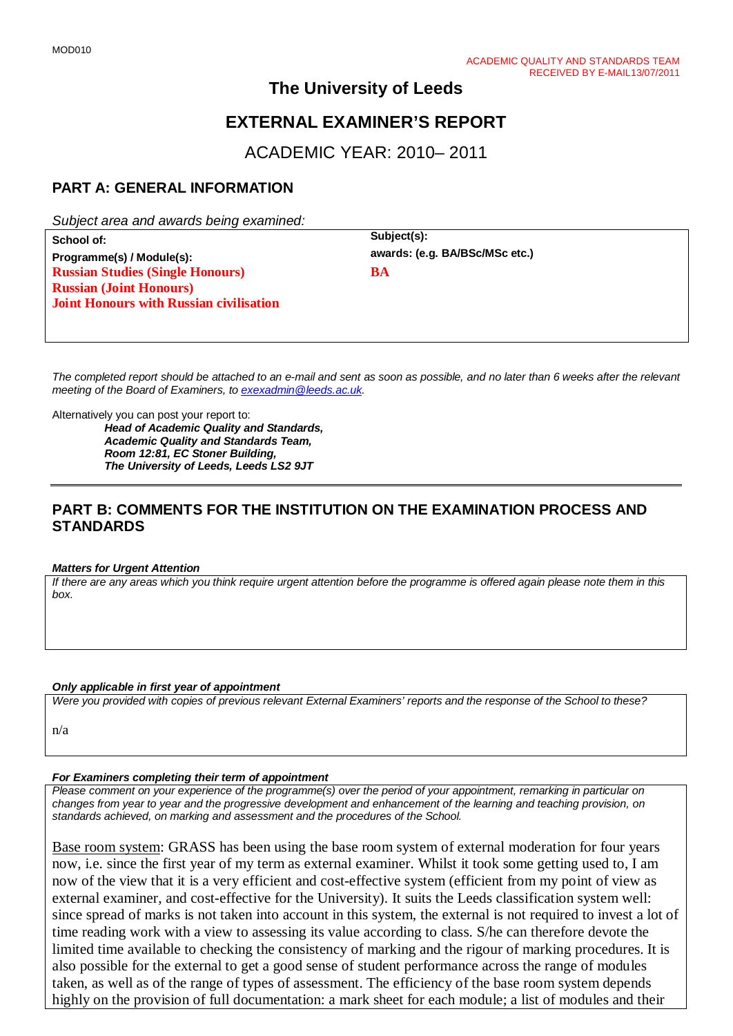## **The University of Leeds**

# **EXTERNAL EXAMINER'S REPORT**

ACADEMIC YEAR: 2010– 2011

## **PART A: GENERAL INFORMATION**

*Subject area and awards being examined:*

School of:<br> **Subject(s):**<br> **Programme(s)** / Module(s):<br> **Programme(s)** / Module(s):<br> **ARRISCONSC etc.**  $Programme(s) / Module(s):$ **Russian Studies (Single Honours) Russian (Joint Honours) Joint Honours with Russian civilisation**

**BA**

*The completed report should be attached to an e-mail and sent as soon as possible, and no later than 6 weeks after the relevant meeting of the Board of Examiners, to [exexadmin@leeds.ac.uk.](mailto:exexadmin@leeds.ac.uk)*

Alternatively you can post your report to:

*Head of Academic Quality and Standards, Academic Quality and Standards Team, Room 12:81, EC Stoner Building, The University of Leeds, Leeds LS2 9JT*

### **PART B: COMMENTS FOR THE INSTITUTION ON THE EXAMINATION PROCESS AND STANDARDS**

#### *Matters for Urgent Attention*

*If there are any areas which you think require urgent attention before the programme is offered again please note them in this box.*

#### *Only applicable in first year of appointment*

*Were you provided with copies of previous relevant External Examiners' reports and the response of the School to these?* 

n/a

#### *For Examiners completing their term of appointment*

*Please comment on your experience of the programme(s) over the period of your appointment, remarking in particular on changes from year to year and the progressive development and enhancement of the learning and teaching provision, on standards achieved, on marking and assessment and the procedures of the School.* 

Base room system: GRASS has been using the base room system of external moderation for four years now, i.e. since the first year of my term as external examiner. Whilst it took some getting used to, I am now of the view that it is a very efficient and cost-effective system (efficient from my point of view as external examiner, and cost-effective for the University). It suits the Leeds classification system well: since spread of marks is not taken into account in this system, the external is not required to invest a lot of time reading work with a view to assessing its value according to class. S/he can therefore devote the limited time available to checking the consistency of marking and the rigour of marking procedures. It is also possible for the external to get a good sense of student performance across the range of modules taken, as well as of the range of types of assessment. The efficiency of the base room system depends highly on the provision of full documentation: a mark sheet for each module; a list of modules and their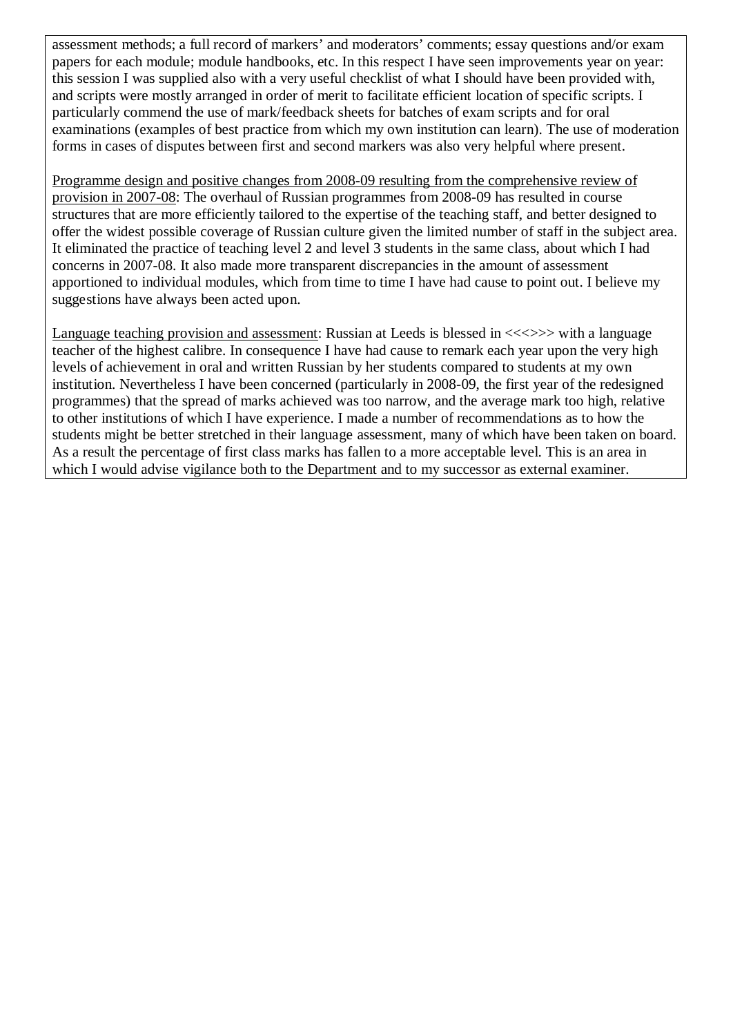assessment methods; a full record of markers' and moderators' comments; essay questions and/or exam papers for each module; module handbooks, etc. In this respect I have seen improvements year on year: this session I was supplied also with a very useful checklist of what I should have been provided with, and scripts were mostly arranged in order of merit to facilitate efficient location of specific scripts. I particularly commend the use of mark/feedback sheets for batches of exam scripts and for oral examinations (examples of best practice from which my own institution can learn). The use of moderation forms in cases of disputes between first and second markers was also very helpful where present.

Programme design and positive changes from 2008-09 resulting from the comprehensive review of provision in 2007-08: The overhaul of Russian programmes from 2008-09 has resulted in course structures that are more efficiently tailored to the expertise of the teaching staff, and better designed to offer the widest possible coverage of Russian culture given the limited number of staff in the subject area. It eliminated the practice of teaching level 2 and level 3 students in the same class, about which I had concerns in 2007-08. It also made more transparent discrepancies in the amount of assessment apportioned to individual modules, which from time to time I have had cause to point out. I believe my suggestions have always been acted upon.

Language teaching provision and assessment: Russian at Leeds is blessed in  $\langle \langle \rangle \rangle$  with a language teacher of the highest calibre. In consequence I have had cause to remark each year upon the very high levels of achievement in oral and written Russian by her students compared to students at my own institution. Nevertheless I have been concerned (particularly in 2008-09, the first year of the redesigned programmes) that the spread of marks achieved was too narrow, and the average mark too high, relative to other institutions of which I have experience. I made a number of recommendations as to how the students might be better stretched in their language assessment, many of which have been taken on board. As a result the percentage of first class marks has fallen to a more acceptable level. This is an area in which I would advise vigilance both to the Department and to my successor as external examiner.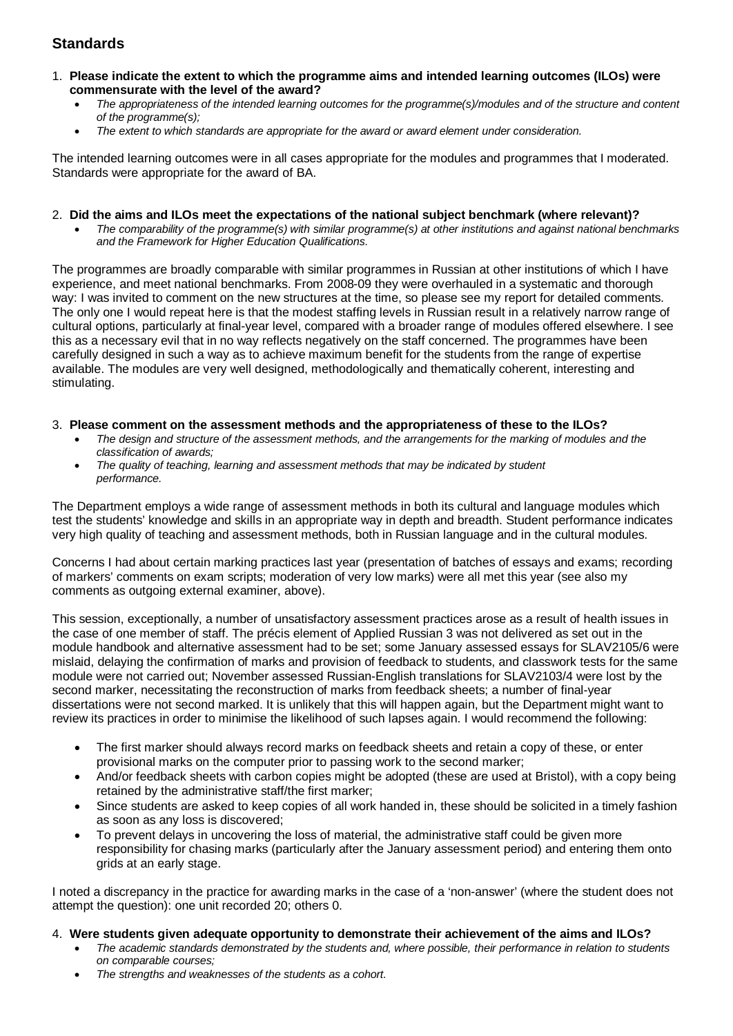## **Standards**

- 1. **Please indicate the extent to which the programme aims and intended learning outcomes (ILOs) were commensurate with the level of the award?**
	- *The appropriateness of the intended learning outcomes for the programme(s)/modules and of the structure and content of the programme(s);*
	- *The extent to which standards are appropriate for the award or award element under consideration.*

The intended learning outcomes were in all cases appropriate for the modules and programmes that I moderated. Standards were appropriate for the award of BA.

#### 2. **Did the aims and ILOs meet the expectations of the national subject benchmark (where relevant)?**

• *The comparability of the programme(s) with similar programme(s) at other institutions and against national benchmarks and the Framework for Higher Education Qualifications.*

The programmes are broadly comparable with similar programmes in Russian at other institutions of which I have experience, and meet national benchmarks. From 2008-09 they were overhauled in a systematic and thorough way: I was invited to comment on the new structures at the time, so please see my report for detailed comments. The only one I would repeat here is that the modest staffing levels in Russian result in a relatively narrow range of cultural options, particularly at final-year level, compared with a broader range of modules offered elsewhere. I see this as a necessary evil that in no way reflects negatively on the staff concerned. The programmes have been carefully designed in such a way as to achieve maximum benefit for the students from the range of expertise available. The modules are very well designed, methodologically and thematically coherent, interesting and stimulating.

#### 3. **Please comment on the assessment methods and the appropriateness of these to the ILOs?**

- *The design and structure of the assessment methods, and the arrangements for the marking of modules and the classification of awards;*
- *The quality of teaching, learning and assessment methods that may be indicated by student performance.*

The Department employs a wide range of assessment methods in both its cultural and language modules which test the students' knowledge and skills in an appropriate way in depth and breadth. Student performance indicates very high quality of teaching and assessment methods, both in Russian language and in the cultural modules.

Concerns I had about certain marking practices last year (presentation of batches of essays and exams; recording of markers' comments on exam scripts; moderation of very low marks) were all met this year (see also my comments as outgoing external examiner, above).

This session, exceptionally, a number of unsatisfactory assessment practices arose as a result of health issues in the case of one member of staff. The précis element of Applied Russian 3 was not delivered as set out in the module handbook and alternative assessment had to be set; some January assessed essays for SLAV2105/6 were mislaid, delaying the confirmation of marks and provision of feedback to students, and classwork tests for the same module were not carried out; November assessed Russian-English translations for SLAV2103/4 were lost by the second marker, necessitating the reconstruction of marks from feedback sheets; a number of final-year dissertations were not second marked. It is unlikely that this will happen again, but the Department might want to review its practices in order to minimise the likelihood of such lapses again. I would recommend the following:

- The first marker should always record marks on feedback sheets and retain a copy of these, or enter provisional marks on the computer prior to passing work to the second marker;
- And/or feedback sheets with carbon copies might be adopted (these are used at Bristol), with a copy being retained by the administrative staff/the first marker;
- Since students are asked to keep copies of all work handed in, these should be solicited in a timely fashion as soon as any loss is discovered;
- To prevent delays in uncovering the loss of material, the administrative staff could be given more responsibility for chasing marks (particularly after the January assessment period) and entering them onto grids at an early stage.

I noted a discrepancy in the practice for awarding marks in the case of a 'non-answer' (where the student does not attempt the question): one unit recorded 20; others 0.

- 4. **Were students given adequate opportunity to demonstrate their achievement of the aims and ILOs?**
	- *The academic standards demonstrated by the students and, where possible, their performance in relation to students on comparable courses;*
	- *The strengths and weaknesses of the students as a cohort.*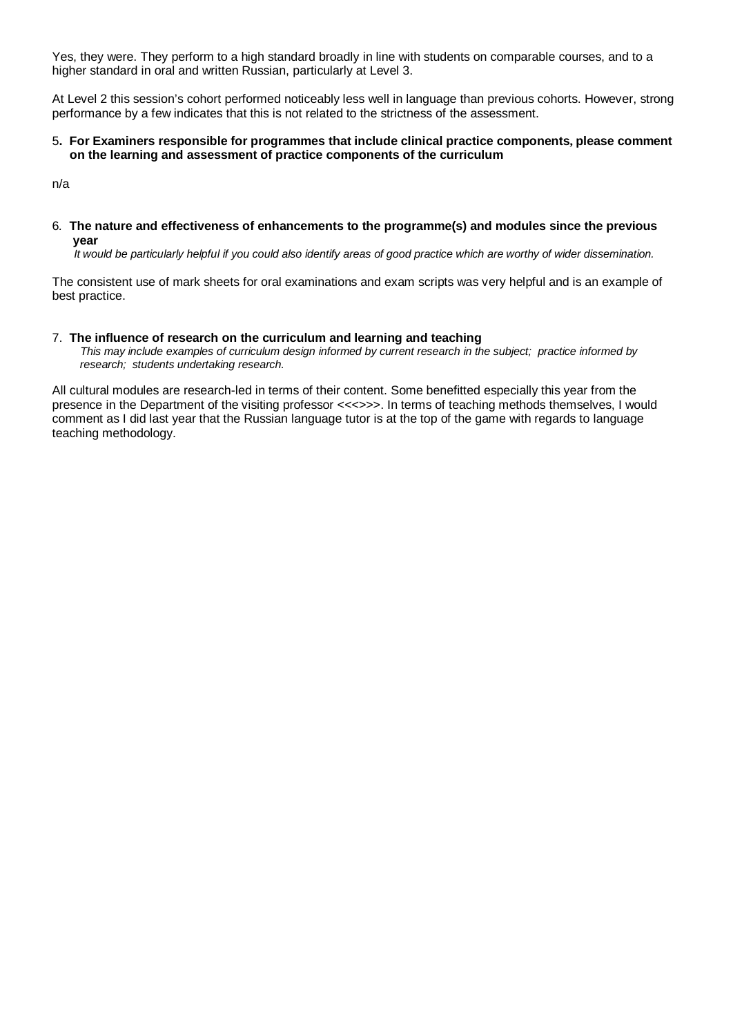Yes, they were. They perform to a high standard broadly in line with students on comparable courses, and to a higher standard in oral and written Russian, particularly at Level 3.

At Level 2 this session's cohort performed noticeably less well in language than previous cohorts. However, strong performance by a few indicates that this is not related to the strictness of the assessment.

#### 5**. For Examiners responsible for programmes that include clinical practice components, please comment on the learning and assessment of practice components of the curriculum**

n/a

6*.* **The nature and effectiveness of enhancements to the programme(s) and modules since the previous year**

 *It would be particularly helpful if you could also identify areas of good practice which are worthy of wider dissemination.* 

The consistent use of mark sheets for oral examinations and exam scripts was very helpful and is an example of best practice.

#### 7.**The influence of research on the curriculum and learning and teaching**

 *This may include examples of curriculum design informed by current research in the subject; practice informed by research; students undertaking research.* 

All cultural modules are research-led in terms of their content. Some benefitted especially this year from the presence in the Department of the visiting professor <<<>>>. In terms of teaching methods themselves, I would comment as I did last year that the Russian language tutor is at the top of the game with regards to language teaching methodology.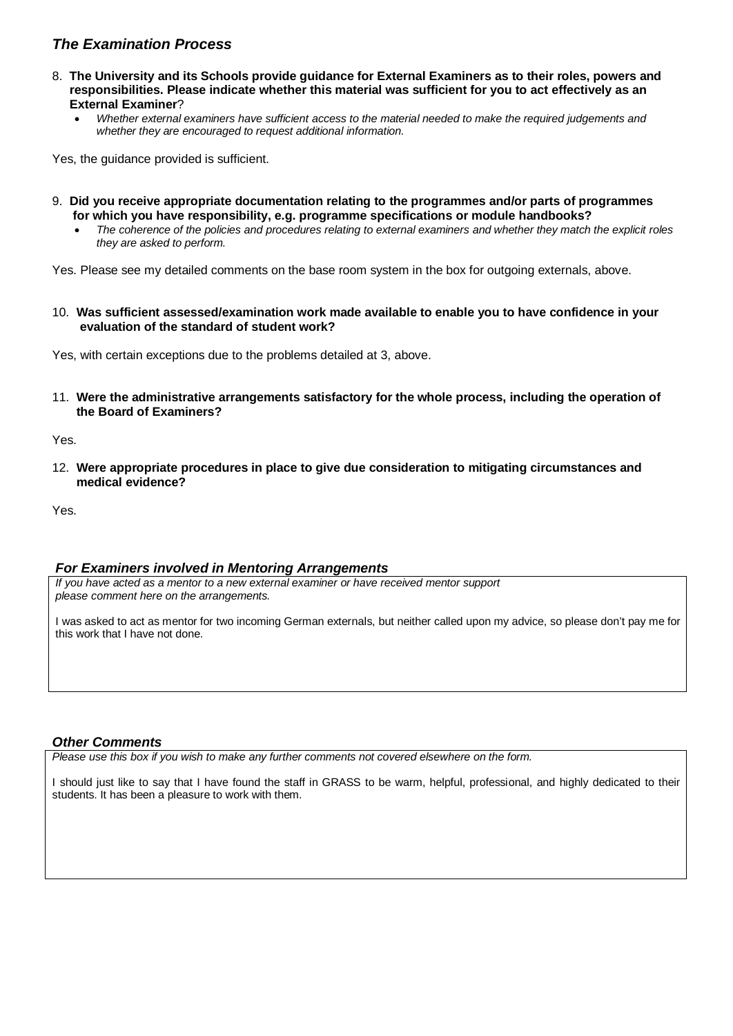### *The Examination Process*

- 8. **The University and its Schools provide guidance for External Examiners as to their roles, powers and responsibilities. Please indicate whether this material was sufficient for you to act effectively as an External Examiner**?
	- *Whether external examiners have sufficient access to the material needed to make the required judgements and whether they are encouraged to request additional information.*

Yes, the guidance provided is sufficient.

- 9. **Did you receive appropriate documentation relating to the programmes and/or parts of programmes for which you have responsibility, e.g. programme specifications or module handbooks?**
	- *The coherence of the policies and procedures relating to external examiners and whether they match the explicit roles they are asked to perform.*

Yes. Please see my detailed comments on the base room system in the box for outgoing externals, above.

10. **Was sufficient assessed/examination work made available to enable you to have confidence in your evaluation of the standard of student work?**

Yes, with certain exceptions due to the problems detailed at 3, above.

11. **Were the administrative arrangements satisfactory for the whole process, including the operation of the Board of Examiners?**

Yes.

12. **Were appropriate procedures in place to give due consideration to mitigating circumstances and medical evidence?**

Yes.

#### *For Examiners involved in Mentoring Arrangements*

*If you have acted as a mentor to a new external examiner or have received mentor support please comment here on the arrangements.*

I was asked to act as mentor for two incoming German externals, but neither called upon my advice, so please don't pay me for this work that I have not done.

#### *Other Comments*

*Please use this box if you wish to make any further comments not covered elsewhere on the form.*

I should just like to say that I have found the staff in GRASS to be warm, helpful, professional, and highly dedicated to their students. It has been a pleasure to work with them.